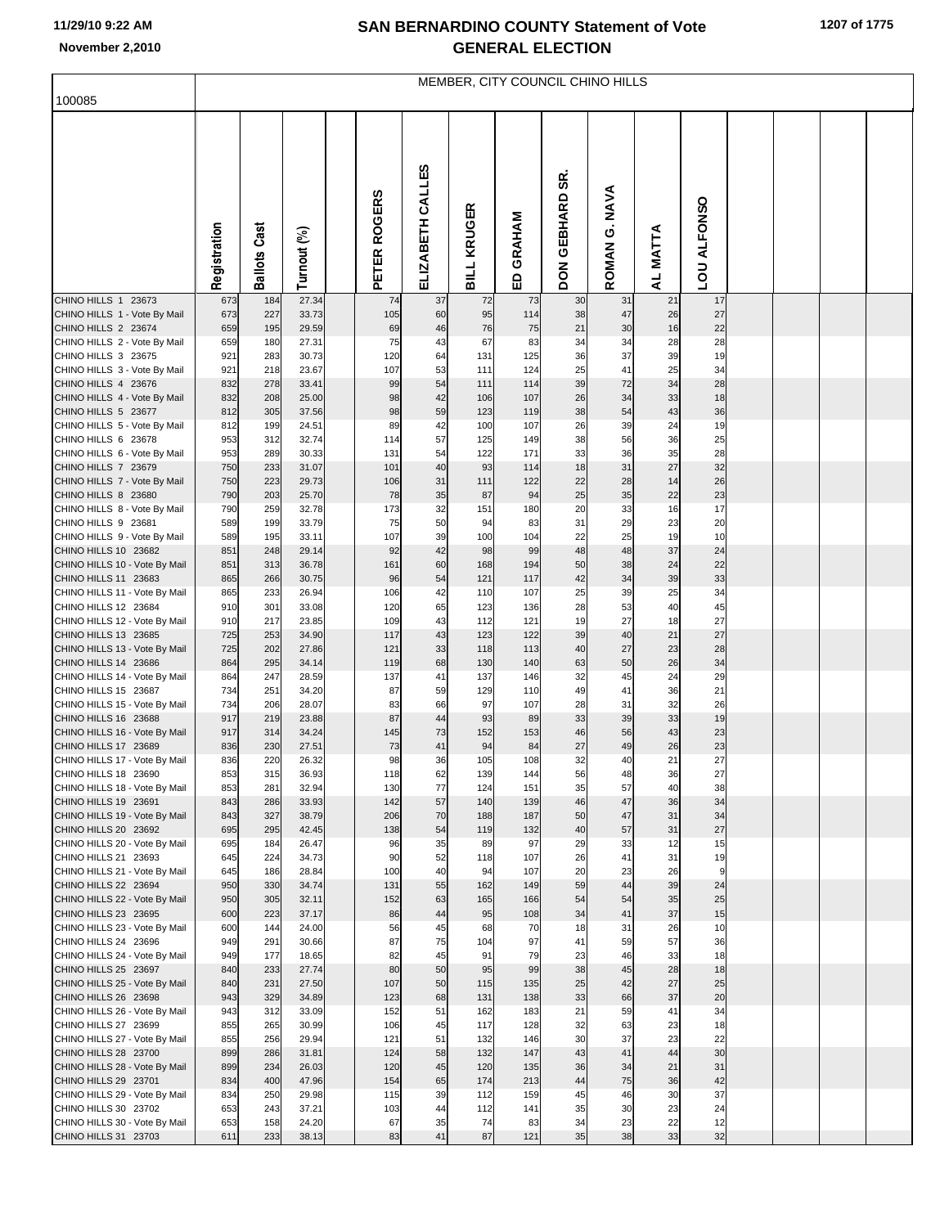## **SAN BERNARDINO COUNTY Statement of Vote November 2,2010 GENERAL ELECTION**

|                                                       | MEMBER, CITY COUNCIL CHINO HILLS |                     |                |  |              |                  |                    |             |                              |                         |                                         |                    |  |  |  |
|-------------------------------------------------------|----------------------------------|---------------------|----------------|--|--------------|------------------|--------------------|-------------|------------------------------|-------------------------|-----------------------------------------|--------------------|--|--|--|
| 100085                                                |                                  |                     |                |  |              |                  |                    |             |                              |                         |                                         |                    |  |  |  |
|                                                       | Registration                     | <b>Ballots Cast</b> | Turnout (%)    |  | PETER ROGERS | ELIZABETH CALLES | <b>BILL KRUGER</b> | GRAHAM<br>읎 | SR.<br>GEBHARD<br><b>NOQ</b> | G. NAVA<br><b>ROMAN</b> | <b>MATTA</b><br>$\overline{\mathbf{z}}$ | <b>LOU ALFONSO</b> |  |  |  |
| CHINO HILLS 1 23673                                   | 673                              | 184                 | 27.34          |  | 74           | 37               | 72                 | 73          | 30                           | 31                      | 21                                      | 17                 |  |  |  |
| CHINO HILLS 1 - Vote By Mail<br>CHINO HILLS 2 23674   | 673<br>659                       | 227<br>195          | 33.73<br>29.59 |  | 105<br>69    | 60<br>46         | 95<br>76           | 114<br>75   | 38<br>21                     | 47<br>30                | 26<br>16                                | 27<br>22           |  |  |  |
| CHINO HILLS 2 - Vote By Mail                          | 659                              | 180                 | 27.31          |  | 75           | 43               | 67                 | 83          | 34                           | 34                      | 28                                      | 28                 |  |  |  |
| CHINO HILLS 3 23675                                   | 921<br>921                       | 283                 | 30.73<br>23.67 |  | 120<br>107   | 64<br>53         | 131                | 125<br>124  | 36                           | 37                      | 39                                      | 19<br>34           |  |  |  |
| CHINO HILLS 3 - Vote By Mail<br>CHINO HILLS 4 23676   | 832                              | 218<br>278          | 33.41          |  | 99           | 54               | 111<br>111         | 114         | 25<br>39                     | 41<br>72                | 25<br>34                                | 28                 |  |  |  |
| CHINO HILLS 4 - Vote By Mail                          | 832                              | 208                 | 25.00          |  | 98           | 42               | 106                | 107         | 26                           | 34                      | 33                                      | 18                 |  |  |  |
| CHINO HILLS 5 23677<br>CHINO HILLS 5 - Vote By Mail   | 812<br>812                       | 305<br>199          | 37.56<br>24.51 |  | 98<br>89     | 59<br>42         | 123<br>100         | 119<br>107  | 38<br>26                     | 54<br>39                | 43<br>24                                | 36<br>19           |  |  |  |
| CHINO HILLS 6 23678                                   | 953                              | 312                 | 32.74          |  | 114          | 57               | 125                | 149         | 38                           | 56                      | 36                                      | 25                 |  |  |  |
| CHINO HILLS 6 - Vote By Mail                          | 953                              | 289                 | 30.33          |  | 131          | 54               | 122                | 171         | 33                           | 36                      | 35                                      | 28                 |  |  |  |
| CHINO HILLS 7 23679<br>CHINO HILLS 7 - Vote By Mail   | 750<br>750                       | 233<br>223          | 31.07<br>29.73 |  | 101<br>106   | 40<br>31         | 93<br>111          | 114<br>122  | 18<br>22                     | 31<br>28                | 27<br>14                                | 32<br>26           |  |  |  |
| CHINO HILLS 8 23680                                   | 790                              | 203                 | 25.70          |  | 78           | 35               | 87                 | 94          | 25                           | 35                      | 22                                      | 23                 |  |  |  |
| CHINO HILLS 8 - Vote By Mail                          | 790                              | 259                 | 32.78          |  | 173          | 32               | 151                | 180         | 20                           | 33                      | 16                                      | 17                 |  |  |  |
| CHINO HILLS 9 23681<br>CHINO HILLS 9 - Vote By Mail   | 589<br>589                       | 199<br>195          | 33.79<br>33.11 |  | 75<br>107    | 50<br>39         | 94<br>100          | 83<br>104   | 31<br>22                     | 29<br>25                | 23<br>19                                | 20<br>10           |  |  |  |
| CHINO HILLS 10 23682                                  | 851                              | 248                 | 29.14          |  | 92           | 42               | 98                 | 99          | 48                           | 48                      | 37                                      | 24                 |  |  |  |
| CHINO HILLS 10 - Vote By Mail                         | 851                              | 313                 | 36.78          |  | 161          | 60               | 168                | 194         | 50                           | 38                      | 24                                      | 22                 |  |  |  |
| CHINO HILLS 11 23683<br>CHINO HILLS 11 - Vote By Mail | 865<br>865                       | 266<br>233          | 30.75<br>26.94 |  | 96<br>106    | 54<br>42         | 121<br>110         | 117<br>107  | 42<br>25                     | 34<br>39                | 39<br>25                                | 33<br>34           |  |  |  |
| CHINO HILLS 12 23684                                  | 910                              | 301                 | 33.08          |  | 120          | 65               | 123                | 136         | 28                           | 53                      | 40                                      | 45                 |  |  |  |
| CHINO HILLS 12 - Vote By Mail                         | 910                              | 217                 | 23.85          |  | 109          | 43               | 112                | 121         | 19                           | 27                      | 18                                      | 27                 |  |  |  |
| CHINO HILLS 13 23685<br>CHINO HILLS 13 - Vote By Mail | 725<br>725                       | 253<br>202          | 34.90<br>27.86 |  | 117<br>121   | 43<br>33         | 123<br>118         | 122<br>113  | 39<br>40                     | 40<br>27                | 21<br>23                                | 27<br>28           |  |  |  |
| CHINO HILLS 14 23686                                  | 864                              | 295                 | 34.14          |  | 119          | 68               | 130                | 140         | 63                           | 50                      | 26                                      | 34                 |  |  |  |
| CHINO HILLS 14 - Vote By Mail                         | 864                              | 247                 | 28.59          |  | 137          | 41               | 137                | 146         | 32                           | 45                      | 24                                      | 29                 |  |  |  |
| CHINO HILLS 15 23687<br>CHINO HILLS 15 - Vote By Mail | 734<br>734                       | 251<br>206          | 34.20<br>28.07 |  | 87<br>83     | 59<br>66         | 129<br>97          | 110<br>107  | 49<br>28                     | 41<br>31                | 36<br>32                                | 21<br>26           |  |  |  |
| CHINO HILLS 16 23688                                  | 917                              | 219                 | 23.88          |  | 87           | 44               | 93                 | 89          | 33                           | 39                      | 33                                      | 19                 |  |  |  |
| CHINO HILLS 16 - Vote By Mail                         | 917                              | 314                 | 34.24          |  | 145          | 73               | 152                | 153         | 46                           | 56                      | 43                                      | 23                 |  |  |  |
| CHINO HILLS 17 23689<br>CHINO HILLS 17 - Vote By Mail | 836<br>836                       | 230<br>220          | 27.51<br>26.32 |  | 73<br>98     | 41<br>36         | 94<br>105          | 84<br>108   | 27<br>32                     | 49<br>40                | 26<br>21                                | 23<br>27           |  |  |  |
| CHINO HILLS 18 23690                                  | 853                              | 315                 | 36.93          |  | 118          | 62               | 139                | 144         | 56                           | 48                      | 36                                      | 27                 |  |  |  |
| CHINO HILLS 18 - Vote By Mail                         | 853                              | 281                 | 32.94          |  | 130          | 77               | 124                | 151         | 35                           | 57                      | 40                                      | 38                 |  |  |  |
| CHINO HILLS 19 23691<br>CHINO HILLS 19 - Vote By Mail | 843<br>843                       | 286<br>327          | 33.93<br>38.79 |  | 142<br>206   | 57<br>70         | 140<br>188         | 139<br>187  | 46<br>50                     | 47<br>47                | 36<br>31                                | 34<br>34           |  |  |  |
| CHINO HILLS 20 23692                                  | 695                              | 295                 | 42.45          |  | 138          | 54               | 119                | 132         | 40                           | 57                      | 31                                      | 27                 |  |  |  |
| CHINO HILLS 20 - Vote By Mail                         | 695                              | 184                 | 26.47          |  | 96           | 35               | 89                 | 97          | 29                           | 33<br>41                | 12<br>31                                | 15                 |  |  |  |
| CHINO HILLS 21 23693<br>CHINO HILLS 21 - Vote By Mail | 645<br>645                       | 224<br>186          | 34.73<br>28.84 |  | 90<br>100    | 52<br>40         | 118<br>94          | 107<br>107  | 26<br>20                     | 23                      | 26                                      | 19<br>9            |  |  |  |
| CHINO HILLS 22 23694                                  | 950                              | 330                 | 34.74          |  | 131          | 55               | 162                | 149         | 59                           | 44                      | 39                                      | 24                 |  |  |  |
| CHINO HILLS 22 - Vote By Mail<br>CHINO HILLS 23 23695 | 950<br>600                       | 305<br>223          | 32.11<br>37.17 |  | 152<br>86    | 63<br>44         | 165<br>95          | 166<br>108  | 54<br>34                     | 54<br>41                | 35<br>37                                | 25<br>15           |  |  |  |
| CHINO HILLS 23 - Vote By Mail                         | 600                              | 144                 | 24.00          |  | 56           | 45               | 68                 | 70          | 18                           | 31                      | 26                                      | 10                 |  |  |  |
| CHINO HILLS 24 23696                                  | 949                              | 291                 | 30.66          |  | 87           | 75               | 104                | 97          | 41                           | 59                      | 57                                      | 36                 |  |  |  |
| CHINO HILLS 24 - Vote By Mail<br>CHINO HILLS 25 23697 | 949<br>840                       | 177<br>233          | 18.65<br>27.74 |  | 82<br>80     | 45<br>50         | 91<br>95           | 79<br>99    | 23<br>38                     | 46<br>45                | 33<br>28                                | 18<br>18           |  |  |  |
| CHINO HILLS 25 - Vote By Mail                         | 840                              | 231                 | 27.50          |  | 107          | 50               | 115                | 135         | 25                           | 42                      | 27                                      | 25                 |  |  |  |
| CHINO HILLS 26 23698                                  | 943                              | 329                 | 34.89          |  | 123          | 68               | 131                | 138         | 33                           | 66                      | 37                                      | 20                 |  |  |  |
| CHINO HILLS 26 - Vote By Mail<br>CHINO HILLS 27 23699 | 943<br>855                       | 312<br>265          | 33.09<br>30.99 |  | 152<br>106   | 51<br>45         | 162<br>117         | 183<br>128  | 21<br>32                     | 59<br>63                | 41<br>23                                | 34<br>18           |  |  |  |
| CHINO HILLS 27 - Vote By Mail                         | 855                              | 256                 | 29.94          |  | 121          | 51               | 132                | 146         | 30                           | 37                      | 23                                      | 22                 |  |  |  |
| CHINO HILLS 28 23700                                  | 899                              | 286                 | 31.81          |  | 124          | 58               | 132                | 147         | 43                           | 41                      | 44                                      | 30                 |  |  |  |
| CHINO HILLS 28 - Vote By Mail<br>CHINO HILLS 29 23701 | 899<br>834                       | 234<br>400          | 26.03<br>47.96 |  | 120<br>154   | 45<br>65         | 120<br>174         | 135<br>213  | 36<br>44                     | 34<br>75                | 21<br>36                                | 31<br>42           |  |  |  |
| CHINO HILLS 29 - Vote By Mail                         | 834                              | 250                 | 29.98          |  | 115          | 39               | 112                | 159         | 45                           | 46                      | 30                                      | 37                 |  |  |  |
| CHINO HILLS 30 23702                                  | 653                              | 243                 | 37.21          |  | 103          | 44               | 112                | 141         | 35                           | 30                      | 23                                      | 24                 |  |  |  |
| CHINO HILLS 30 - Vote By Mail<br>CHINO HILLS 31 23703 | 653<br>611                       | 158<br>233          | 24.20<br>38.13 |  | 67<br>83     | 35<br>41         | 74<br>87           | 83<br>121   | 34<br>35                     | 23<br>38                | 22<br>33                                | 12<br>32           |  |  |  |
|                                                       |                                  |                     |                |  |              |                  |                    |             |                              |                         |                                         |                    |  |  |  |